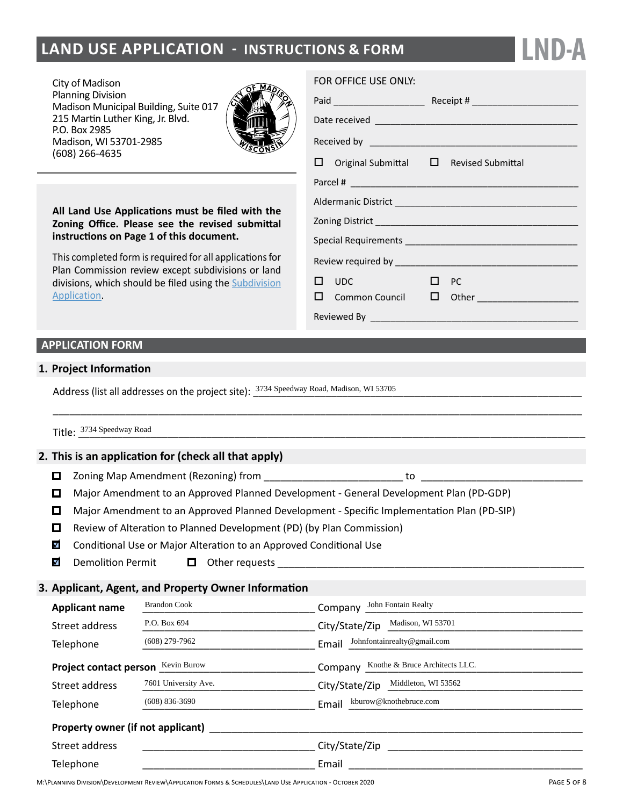# **LAND USE APPLICATION - INSTRUCTIONS & FORM**

City of Madison Planning Division Madison Municipal Building, Suite 017 215 Martin Luther King, Jr. Blvd. P.O. Box 2985 Madison, WI 53701-2985 (608) 266-4635



**All Land Use Applications must be filed with the Zoning Office. Please see the revised submittal instructions on Page 1 of this document.**

This completed form is required for all applications for Plan Commission review except subdivisions or land divisions, which should be filed using the [Subdivision](http://www.cityofmadison.com/development-services-center/documents/SubdivisionApplication.pdf) [Application.](http://www.cityofmadison.com/development-services-center/documents/SubdivisionApplication.pdf)

#### FOR OFFICE USE ONLY:

|  | $\Box$ Original Submittal $\Box$ Revised Submittal |           |  |  |  |
|--|----------------------------------------------------|-----------|--|--|--|
|  |                                                    |           |  |  |  |
|  |                                                    |           |  |  |  |
|  |                                                    |           |  |  |  |
|  |                                                    |           |  |  |  |
|  |                                                    |           |  |  |  |
|  | $\square$ $\square$                                | $\Box$ PC |  |  |  |
|  |                                                    |           |  |  |  |
|  |                                                    |           |  |  |  |

**LND-A**

# **APPLICATION FORM**

#### **1. Project Information**

Address (list all addresses on the project site):  $\frac{3734 \text{ Speedway Road, Madison, WI 53705}}{}$ 

Title: 3734 Speedway Road

#### **2. This is an application for (check all that apply)**

- $\Box$  Zoning Map Amendment (Rezoning) from  $\Box$
- $\Box$ Major Amendment to an Approved Planned Development - General Development Plan (PD-GDP)

\_\_\_\_\_\_\_\_\_\_\_\_\_\_\_\_\_\_\_\_\_\_\_\_\_\_\_\_\_\_\_\_\_\_\_\_\_\_\_\_\_\_\_\_\_\_\_\_\_\_\_\_\_\_\_\_\_\_\_\_\_\_\_\_\_\_\_\_\_\_\_\_\_\_\_\_\_\_\_\_\_\_\_\_\_\_\_\_\_\_\_\_\_\_\_

- Major Amendment to an Approved Planned Development Specific Implementation Plan (PD-SIP)
- Review of Alteration to Planned Development (PD) (by Plan Commission)
- $\blacktriangledown$ Conditional Use or Major Alteration to an Approved Conditional Use
- $\overline{\mathbf{v}}$ Demolition Permit  $\Box$  Other requests  $\Box$

# **3. Applicant, Agent, and Property Owner Information**

| Title: 3734 Speedway Road                           |                                                                                            |                                                                                   |  |  |  |  |  |
|-----------------------------------------------------|--------------------------------------------------------------------------------------------|-----------------------------------------------------------------------------------|--|--|--|--|--|
| . This is an application for (check all that apply) |                                                                                            |                                                                                   |  |  |  |  |  |
| O                                                   |                                                                                            | to                                                                                |  |  |  |  |  |
| O                                                   | Major Amendment to an Approved Planned Development - General Development Plan (PD-GDP)     |                                                                                   |  |  |  |  |  |
| O                                                   | Major Amendment to an Approved Planned Development - Specific Implementation Plan (PD-SIP) |                                                                                   |  |  |  |  |  |
| O                                                   | Review of Alteration to Planned Development (PD) (by Plan Commission)                      |                                                                                   |  |  |  |  |  |
| V                                                   | Conditional Use or Major Alteration to an Approved Conditional Use                         |                                                                                   |  |  |  |  |  |
| М                                                   | <b>Demolition Permit</b>                                                                   |                                                                                   |  |  |  |  |  |
| Applicant, Agent, and Property Owner Information    |                                                                                            |                                                                                   |  |  |  |  |  |
| <b>Applicant name</b>                               | <b>Brandon Cook</b>                                                                        | Company John Fontain Realty                                                       |  |  |  |  |  |
| Street address                                      | P.O. Box 694                                                                               | City/State/Zip Madison, WI 53701                                                  |  |  |  |  |  |
| Telephone                                           | $(608)$ 279-7962                                                                           | Email Johnfontainrealty@gmail.com                                                 |  |  |  |  |  |
| Project contact person Kevin Burow                  |                                                                                            | Company Knothe & Bruce Architects LLC.                                            |  |  |  |  |  |
| Street address                                      | 7601 University Ave.                                                                       | City/State/Zip Middleton, WI 53562                                                |  |  |  |  |  |
| Telephone                                           | $(608)$ 836-3690                                                                           | Email kburow@knothebruce.com                                                      |  |  |  |  |  |
|                                                     |                                                                                            |                                                                                   |  |  |  |  |  |
|                                                     |                                                                                            |                                                                                   |  |  |  |  |  |
| Street address                                      |                                                                                            | __________________________________City/State/Zip ________________________________ |  |  |  |  |  |
| Telephone                                           |                                                                                            |                                                                                   |  |  |  |  |  |